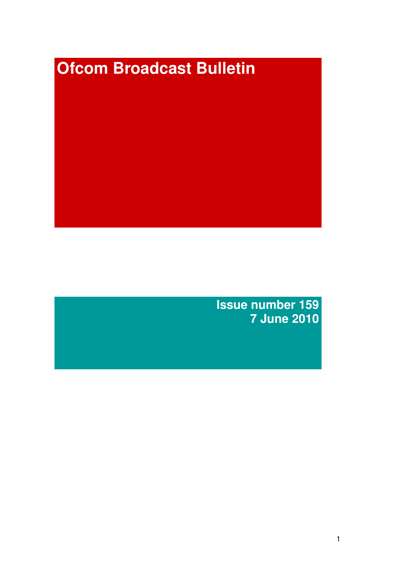# **Ofcom Broadcast Bulletin**

**Issue number 159 7 June 2010**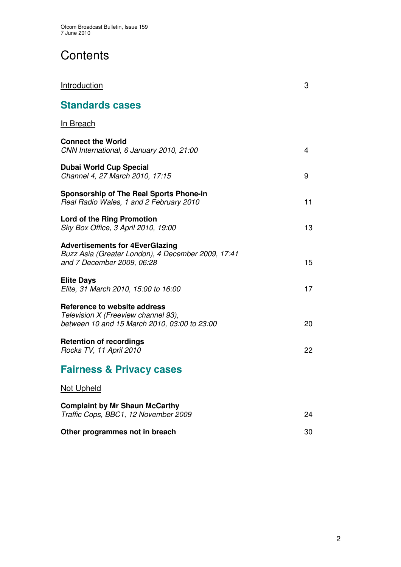# **Contents**

| Introduction                                                                                                               | 3  |
|----------------------------------------------------------------------------------------------------------------------------|----|
| <b>Standards cases</b>                                                                                                     |    |
| <b>In Breach</b>                                                                                                           |    |
| <b>Connect the World</b><br>CNN International, 6 January 2010, 21:00                                                       | 4  |
| <b>Dubai World Cup Special</b><br>Channel 4, 27 March 2010, 17:15                                                          | 9  |
| <b>Sponsorship of The Real Sports Phone-in</b><br>Real Radio Wales, 1 and 2 February 2010                                  | 11 |
| <b>Lord of the Ring Promotion</b><br>Sky Box Office, 3 April 2010, 19:00                                                   | 13 |
| <b>Advertisements for 4EverGlazing</b><br>Buzz Asia (Greater London), 4 December 2009, 17:41<br>and 7 December 2009, 06:28 | 15 |
| <b>Elite Days</b><br>Elite, 31 March 2010, 15:00 to 16:00                                                                  | 17 |
| Reference to website address<br>Television X (Freeview channel 93),<br>between 10 and 15 March 2010, 03:00 to 23:00        | 20 |
| <b>Retention of recordings</b><br>Rocks TV, 11 April 2010                                                                  | 22 |
| <b>Fairness &amp; Privacy cases</b>                                                                                        |    |
| <b>Not Upheld</b>                                                                                                          |    |
| <b>Complaint by Mr Shaun McCarthy</b><br>Traffic Cops, BBC1, 12 November 2009                                              | 24 |
| Other programmes not in breach                                                                                             | 30 |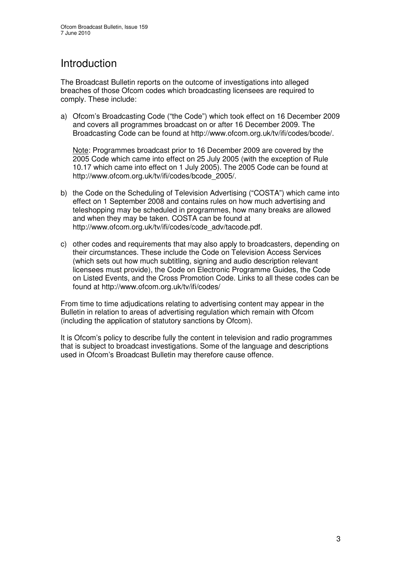# Introduction

The Broadcast Bulletin reports on the outcome of investigations into alleged breaches of those Ofcom codes which broadcasting licensees are required to comply. These include:

a) Ofcom's Broadcasting Code ("the Code") which took effect on 16 December 2009 and covers all programmes broadcast on or after 16 December 2009. The Broadcasting Code can be found at http://www.ofcom.org.uk/tv/ifi/codes/bcode/.

Note: Programmes broadcast prior to 16 December 2009 are covered by the 2005 Code which came into effect on 25 July 2005 (with the exception of Rule 10.17 which came into effect on 1 July 2005). The 2005 Code can be found at http://www.ofcom.org.uk/tv/ifi/codes/bcode\_2005/.

- b) the Code on the Scheduling of Television Advertising ("COSTA") which came into effect on 1 September 2008 and contains rules on how much advertising and teleshopping may be scheduled in programmes, how many breaks are allowed and when they may be taken. COSTA can be found at http://www.ofcom.org.uk/tv/ifi/codes/code\_adv/tacode.pdf.
- c) other codes and requirements that may also apply to broadcasters, depending on their circumstances. These include the Code on Television Access Services (which sets out how much subtitling, signing and audio description relevant licensees must provide), the Code on Electronic Programme Guides, the Code on Listed Events, and the Cross Promotion Code. Links to all these codes can be found at http://www.ofcom.org.uk/tv/ifi/codes/

From time to time adjudications relating to advertising content may appear in the Bulletin in relation to areas of advertising regulation which remain with Ofcom (including the application of statutory sanctions by Ofcom).

It is Ofcom's policy to describe fully the content in television and radio programmes that is subject to broadcast investigations. Some of the language and descriptions used in Ofcom's Broadcast Bulletin may therefore cause offence.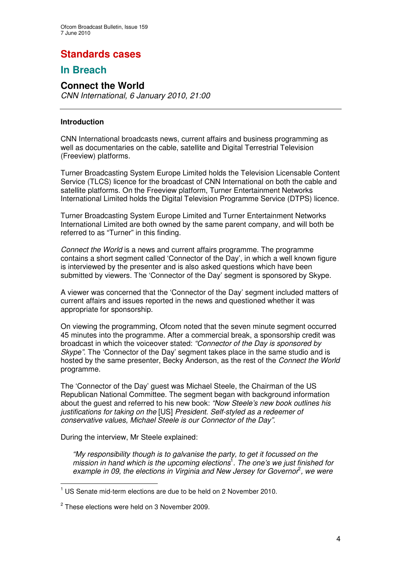## **Standards cases**

## **In Breach**

## **Connect the World**

*CNN International, 6 January 2010, 21:00*

#### **Introduction**

CNN International broadcasts news, current affairs and business programming as well as documentaries on the cable, satellite and Digital Terrestrial Television (Freeview) platforms.

Turner Broadcasting System Europe Limited holds the Television Licensable Content Service (TLCS) licence for the broadcast of CNN International on both the cable and satellite platforms. On the Freeview platform, Turner Entertainment Networks International Limited holds the Digital Television Programme Service (DTPS) licence.

Turner Broadcasting System Europe Limited and Turner Entertainment Networks International Limited are both owned by the same parent company, and will both be referred to as "Turner" in this finding.

*Connect the World* is a news and current affairs programme. The programme contains a short segment called 'Connector of the Day', in which a well known figure is interviewed by the presenter and is also asked questions which have been submitted by viewers. The 'Connector of the Day' segment is sponsored by Skype.

A viewer was concerned that the 'Connector of the Day' segment included matters of current affairs and issues reported in the news and questioned whether it was appropriate for sponsorship.

On viewing the programming, Ofcom noted that the seven minute segment occurred 45 minutes into the programme*.* After a commercial break, a sponsorship credit was broadcast in which the voiceover stated: *"Connector of the Day is sponsored by Skype"*. The 'Connector of the Day' segment takes place in the same studio and is hosted by the same presenter, Becky Anderson, as the rest of the *Connect the World* programme.

The 'Connector of the Day' guest was Michael Steele, the Chairman of the US Republican National Committee. The segment began with background information about the guest and referred to his new book: *"Now Steele's new book outlines his justifications for taking on the* [US] *President. Self-styled as a redeemer of conservative values, Michael Steele is our Connector of the Day"*.

During the interview, Mr Steele explained:

*"My responsibility though is to galvanise the party, to get it focussed on the mission in hand which is the upcoming elections* 1 *. The one's we just finished for example in 09, the elections in Virginia and New Jersey for Governor* 2 *, we were*

 $1$  US Senate mid-term elections are due to be held on 2 November 2010.

 $2$  These elections were held on 3 November 2009.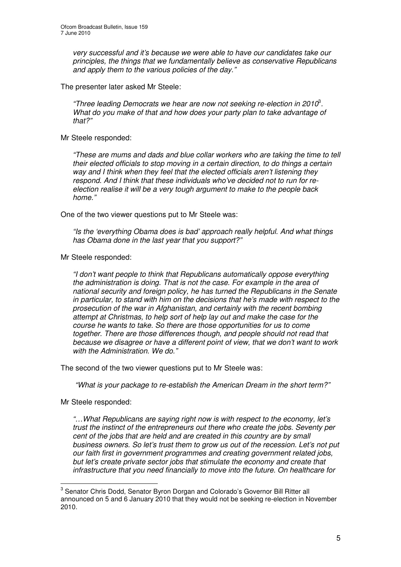*very successful and it's because we were able to have our candidates take our principles, the things that we fundamentally believe as conservative Republicans and apply them to the various policies of the day."*

The presenter later asked Mr Steele:

*"Three leading Democrats we hear are now not seeking re-election in 2010* 3 *. What do you make of that and how does your party plan to take advantage of that?"*

Mr Steele responded:

*"These are mums and dads and blue collar workers who are taking the time to tell their elected officials to stop moving in a certain direction, to do things a certain way and I think when they feel that the elected officials aren't listening they respond. And I think that these individuals who've decided not to run for reelection realise it will be a very tough argument to make to the people back home."*

One of the two viewer questions put to Mr Steele was:

*"Is the 'everything Obama does is bad' approach really helpful. And what things has Obama done in the last year that you support?"*

Mr Steele responded:

*"I don't want people to think that Republicans automatically oppose everything the administration is doing. That is not the case. For example in the area of national security and foreign policy, he has turned the Republicans in the Senate in particular, to stand with him on the decisions that he's made with respect to the prosecution of the war in Afghanistan, and certainly with the recent bombing attempt at Christmas, to help sort of help lay out and make the case for the course he wants to take. So there are those opportunities for us to come together. There are those differences though, and people should not read that because we disagree or have a different point of view, that we don't want to work with the Administration. We do."*

The second of the two viewer questions put to Mr Steele was:

*"What is your package to re-establish the American Dream in the short term?"*

Mr Steele responded:

*"…What Republicans are saying right now is with respect to the economy, let's trust the instinct of the entrepreneurs out there who create the jobs. Seventy per cent of the jobs that are held and are created in this country are by small business owners. So let's trust them to grow us out of the recession. Let's not put our faith first in government programmes and creating government related jobs, but let's create private sector jobs that stimulate the economy and create that infrastructure that you need financially to move into the future. On healthcare for*

 $3$  Senator Chris Dodd, Senator Byron Dorgan and Colorado's Governor Bill Ritter all announced on 5 and 6 January 2010 that they would not be seeking re-election in November 2010.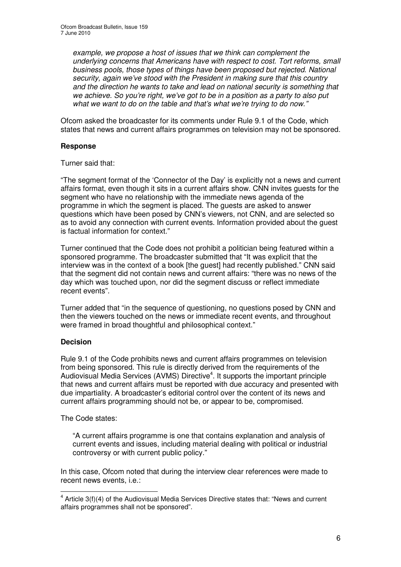*example, we propose a host of issues that we think can complement the underlying concerns that Americans have with respect to cost. Tort reforms, small business pools, those types of things have been proposed but rejected. National security, again we've stood with the President in making sure that this country and the direction he wants to take and lead on national security is something that we achieve. So you're right, we've got to be in a position as a party to also put what we want to do on the table and that's what we're trying to do now."*

Ofcom asked the broadcaster for its comments under Rule 9.1 of the Code, which states that news and current affairs programmes on television may not be sponsored.

#### **Response**

Turner said that:

"The segment format of the 'Connector of the Day' is explicitly not a news and current affairs format, even though it sits in a current affairs show. CNN invites guests for the segment who have no relationship with the immediate news agenda of the programme in which the segment is placed. The guests are asked to answer questions which have been posed by CNN's viewers, not CNN, and are selected so as to avoid any connection with current events. Information provided about the guest is factual information for context."

Turner continued that the Code does not prohibit a politician being featured within a sponsored programme. The broadcaster submitted that "It was explicit that the interview was in the context of a book [the guest] had recently published." CNN said that the segment did not contain news and current affairs: "there was no news of the day which was touched upon, nor did the segment discuss or reflect immediate recent events".

Turner added that "in the sequence of questioning, no questions posed by CNN and then the viewers touched on the news or immediate recent events, and throughout were framed in broad thoughtful and philosophical context."

#### **Decision**

Rule 9.1 of the Code prohibits news and current affairs programmes on television from being sponsored. This rule is directly derived from the requirements of the Audiovisual Media Services (AVMS) Directive<sup>4</sup>. It supports the important principle that news and current affairs must be reported with due accuracy and presented with due impartiality. A broadcaster's editorial control over the content of its news and current affairs programming should not be, or appear to be, compromised.

The Code states:

"A current affairs programme is one that contains explanation and analysis of current events and issues, including material dealing with political or industrial controversy or with current public policy."

In this case, Ofcom noted that during the interview clear references were made to recent news events, i.e.:

 $4$  Article 3(f)(4) of the Audiovisual Media Services Directive states that: "News and current affairs programmes shall not be sponsored".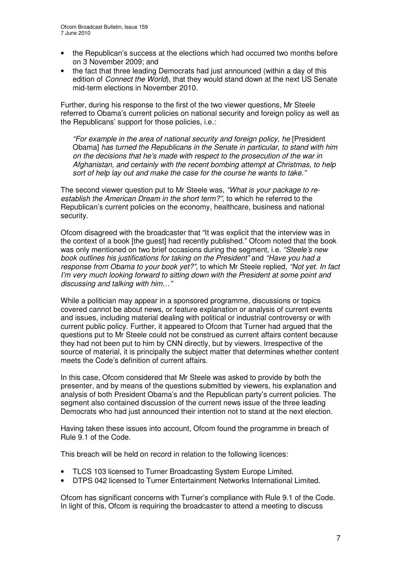- the Republican's success at the elections which had occurred two months before on 3 November 2009; and
- the fact that three leading Democrats had just announced (within a day of this edition of *Connect the World*), that they would stand down at the next US Senate mid-term elections in November 2010.

Further, during his response to the first of the two viewer questions, Mr Steele referred to Obama's current policies on national security and foreign policy as well as the Republicans' support for those policies, i.e.:

*"For example in the area of national security and foreign policy, he* [President Obama] *has turned the Republicans in the Senate in particular, to stand with him on the decisions that he's made with respect to the prosecution of the war in Afghanistan, and certainly with the recent bombing attempt at Christmas, to help sort of help lay out and make the case for the course he wants to take."*

The second viewer question put to Mr Steele was, *"What is your package to reestablish the American Dream in the short term?",* to which he referred to the Republican's current policies on the economy, healthcare, business and national security.

Ofcom disagreed with the broadcaster that "It was explicit that the interview was in the context of a book [the guest] had recently published." Ofcom noted that the book was only mentioned on two brief occasions during the segment, i.e. *"Steele's new book outlines his justifications for taking on the President"* and *"Have you had a response from Obama to your book yet?",* to which Mr Steele replied, *"Not yet. In fact I'm very much looking forward to sitting down with the President at some point and discussing and talking with him…"*

While a politician may appear in a sponsored programme, discussions or topics covered cannot be about news, or feature explanation or analysis of current events and issues, including material dealing with political or industrial controversy or with current public policy. Further, it appeared to Ofcom that Turner had argued that the questions put to Mr Steele could not be construed as current affairs content because they had not been put to him by CNN directly, but by viewers. Irrespective of the source of material, it is principally the subject matter that determines whether content meets the Code's definition of current affairs.

In this case, Ofcom considered that Mr Steele was asked to provide by both the presenter, and by means of the questions submitted by viewers, his explanation and analysis of both President Obama's and the Republican party's current policies. The segment also contained discussion of the current news issue of the three leading Democrats who had just announced their intention not to stand at the next election.

Having taken these issues into account, Ofcom found the programme in breach of Rule 9.1 of the Code.

This breach will be held on record in relation to the following licences:

- TLCS 103 licensed to Turner Broadcasting System Europe Limited.
- DTPS 042 licensed to Turner Entertainment Networks International Limited.

Ofcom has significant concerns with Turner's compliance with Rule 9.1 of the Code. In light of this, Ofcom is requiring the broadcaster to attend a meeting to discuss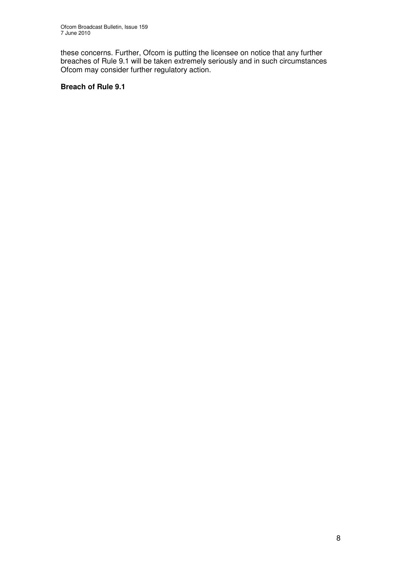these concerns. Further, Ofcom is putting the licensee on notice that any further breaches of Rule 9.1 will be taken extremely seriously and in such circumstances Ofcom may consider further regulatory action.

#### **Breach of Rule 9.1**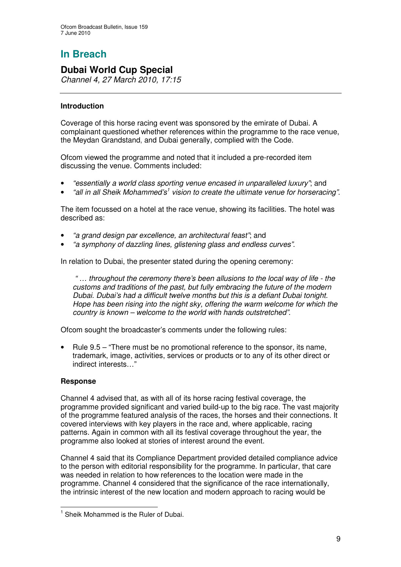## **Dubai World Cup Special**

*Channel 4, 27 March 2010, 17:15*

#### **Introduction**

Coverage of this horse racing event was sponsored by the emirate of Dubai. A complainant questioned whether references within the programme to the race venue, the Meydan Grandstand, and Dubai generally, complied with the Code.

Ofcom viewed the programme and noted that it included a pre-recorded item discussing the venue. Comments included:

- *"essentially a world class sporting venue encased in unparalleled luxury"*; and
- *"all in all Sheik Mohammed's 1 vision to create the ultimate venue for horseracing"*.

The item focussed on a hotel at the race venue, showing its facilities. The hotel was described as:

- *"a grand design par excellence, an architectural feast"*; and
- *"a symphony of dazzling lines, glistening glass and endless curves"*.

In relation to Dubai, the presenter stated during the opening ceremony:

*" … throughout the ceremony there's been allusions to the local way of life - the customs and traditions of the past, but fully embracing the future of the modern Dubai. Dubai's had a difficult twelve months but this is a defiant Dubai tonight. Hope has been rising into the night sky, offering the warm welcome for which the country is known – welcome to the world with hands outstretched"*.

Ofcom sought the broadcaster's comments under the following rules:

• Rule 9.5 – "There must be no promotional reference to the sponsor, its name, trademark, image, activities, services or products or to any of its other direct or indirect interests…"

#### **Response**

Channel 4 advised that, as with all of its horse racing festival coverage, the programme provided significant and varied build-up to the big race. The vast majority of the programme featured analysis of the races, the horses and their connections. It covered interviews with key players in the race and, where applicable, racing patterns. Again in common with all its festival coverage throughout the year, the programme also looked at stories of interest around the event.

Channel 4 said that its Compliance Department provided detailed compliance advice to the person with editorial responsibility for the programme. In particular, that care was needed in relation to how references to the location were made in the programme. Channel 4 considered that the significance of the race internationally, the intrinsic interest of the new location and modern approach to racing would be

<sup>&</sup>lt;sup>1</sup> Sheik Mohammed is the Ruler of Dubai.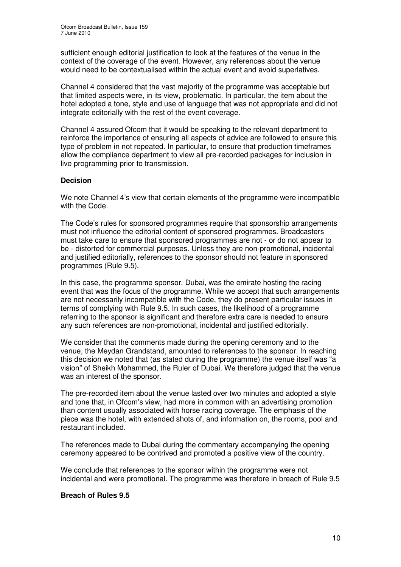sufficient enough editorial justification to look at the features of the venue in the context of the coverage of the event. However, any references about the venue would need to be contextualised within the actual event and avoid superlatives.

Channel 4 considered that the vast majority of the programme was acceptable but that limited aspects were, in its view, problematic. In particular, the item about the hotel adopted a tone, style and use of language that was not appropriate and did not integrate editorially with the rest of the event coverage.

Channel 4 assured Ofcom that it would be speaking to the relevant department to reinforce the importance of ensuring all aspects of advice are followed to ensure this type of problem in not repeated. In particular, to ensure that production timeframes allow the compliance department to view all pre-recorded packages for inclusion in live programming prior to transmission.

#### **Decision**

We note Channel 4's view that certain elements of the programme were incompatible with the Code.

The Code's rules for sponsored programmes require that sponsorship arrangements must not influence the editorial content of sponsored programmes. Broadcasters must take care to ensure that sponsored programmes are not - or do not appear to be - distorted for commercial purposes. Unless they are non-promotional, incidental and justified editorially, references to the sponsor should not feature in sponsored programmes (Rule 9.5).

In this case, the programme sponsor, Dubai, was the emirate hosting the racing event that was the focus of the programme. While we accept that such arrangements are not necessarily incompatible with the Code, they do present particular issues in terms of complying with Rule 9.5. In such cases, the likelihood of a programme referring to the sponsor is significant and therefore extra care is needed to ensure any such references are non-promotional, incidental and justified editorially.

We consider that the comments made during the opening ceremony and to the venue, the Meydan Grandstand, amounted to references to the sponsor. In reaching this decision we noted that (as stated during the programme) the venue itself was "a vision" of Sheikh Mohammed, the Ruler of Dubai. We therefore judged that the venue was an interest of the sponsor.

The pre-recorded item about the venue lasted over two minutes and adopted a style and tone that, in Ofcom's view, had more in common with an advertising promotion than content usually associated with horse racing coverage. The emphasis of the piece was the hotel, with extended shots of, and information on, the rooms, pool and restaurant included.

The references made to Dubai during the commentary accompanying the opening ceremony appeared to be contrived and promoted a positive view of the country.

We conclude that references to the sponsor within the programme were not incidental and were promotional. The programme was therefore in breach of Rule 9.5

#### **Breach of Rules 9.5**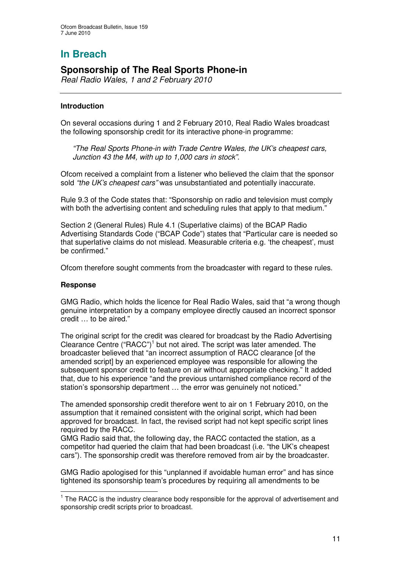## **Sponsorship of The Real Sports Phone-in**

*Real Radio Wales, 1 and 2 February 2010*

#### **Introduction**

On several occasions during 1 and 2 February 2010, Real Radio Wales broadcast the following sponsorship credit for its interactive phone-in programme:

*"The Real Sports Phone-in with Trade Centre Wales, the UK's cheapest cars, Junction 43 the M4, with up to 1,000 cars in stock".*

Ofcom received a complaint from a listener who believed the claim that the sponsor sold *"the UK's cheapest cars"* was unsubstantiated and potentially inaccurate.

Rule 9.3 of the Code states that: "Sponsorship on radio and television must comply with both the advertising content and scheduling rules that apply to that medium."

Section 2 (General Rules) Rule 4.1 (Superlative claims) of the BCAP Radio Advertising Standards Code ("BCAP Code") states that "Particular care is needed so that superlative claims do not mislead. Measurable criteria e.g. 'the cheapest', must be confirmed."

Ofcom therefore sought comments from the broadcaster with regard to these rules.

#### **Response**

GMG Radio, which holds the licence for Real Radio Wales, said that "a wrong though genuine interpretation by a company employee directly caused an incorrect sponsor credit … to be aired."

The original script for the credit was cleared for broadcast by the Radio Advertising Clearance Centre ("RACC")<sup>1</sup> but not aired. The script was later amended. The broadcaster believed that "an incorrect assumption of RACC clearance [of the amended script] by an experienced employee was responsible for allowing the subsequent sponsor credit to feature on air without appropriate checking." It added that, due to his experience "and the previous untarnished compliance record of the station's sponsorship department … the error was genuinely not noticed."

The amended sponsorship credit therefore went to air on 1 February 2010, on the assumption that it remained consistent with the original script, which had been approved for broadcast. In fact, the revised script had not kept specific script lines required by the RACC.

GMG Radio said that, the following day, the RACC contacted the station, as a competitor had queried the claim that had been broadcast (i.e. "the UK's cheapest cars"). The sponsorship credit was therefore removed from air by the broadcaster.

GMG Radio apologised for this "unplanned if avoidable human error" and has since tightened its sponsorship team's procedures by requiring all amendments to be

<sup>&</sup>lt;sup>1</sup> The RACC is the industry clearance body responsible for the approval of advertisement and sponsorship credit scripts prior to broadcast.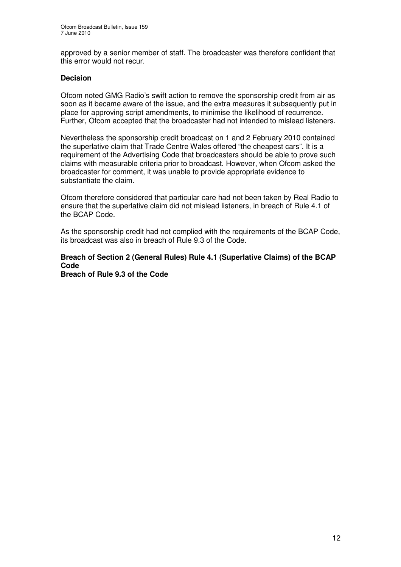approved by a senior member of staff. The broadcaster was therefore confident that this error would not recur.

#### **Decision**

Ofcom noted GMG Radio's swift action to remove the sponsorship credit from air as soon as it became aware of the issue, and the extra measures it subsequently put in place for approving script amendments, to minimise the likelihood of recurrence. Further, Ofcom accepted that the broadcaster had not intended to mislead listeners.

Nevertheless the sponsorship credit broadcast on 1 and 2 February 2010 contained the superlative claim that Trade Centre Wales offered "the cheapest cars". It is a requirement of the Advertising Code that broadcasters should be able to prove such claims with measurable criteria prior to broadcast. However, when Ofcom asked the broadcaster for comment, it was unable to provide appropriate evidence to substantiate the claim.

Ofcom therefore considered that particular care had not been taken by Real Radio to ensure that the superlative claim did not mislead listeners, in breach of Rule 4.1 of the BCAP Code.

As the sponsorship credit had not complied with the requirements of the BCAP Code, its broadcast was also in breach of Rule 9.3 of the Code.

## **Breach of Section 2 (General Rules) Rule 4.1 (Superlative Claims) of the BCAP Code**

**Breach of Rule 9.3 of the Code**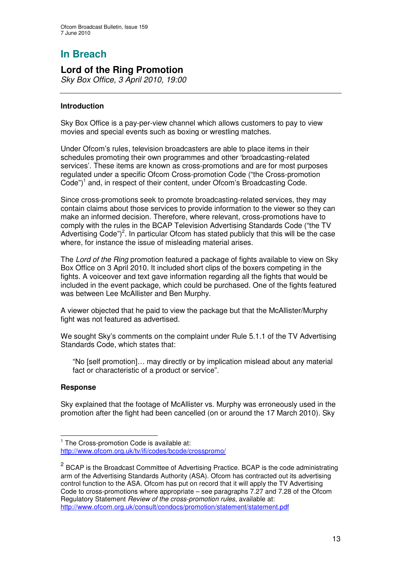## **Lord of the Ring Promotion**

*Sky Box Office, 3 April 2010, 19:00*

#### **Introduction**

Sky Box Office is a pay-per-view channel which allows customers to pay to view movies and special events such as boxing or wrestling matches.

Under Ofcom's rules, television broadcasters are able to place items in their schedules promoting their own programmes and other 'broadcasting-related services'. These items are known as cross-promotions and are for most purposes regulated under a specific Ofcom Cross-promotion Code ("the Cross-promotion Code")<sup>1</sup> and, in respect of their content, under Ofcom's Broadcasting Code.

Since cross-promotions seek to promote broadcasting-related services, they may contain claims about those services to provide information to the viewer so they can make an informed decision. Therefore, where relevant, cross-promotions have to comply with the rules in the BCAP Television Advertising Standards Code ("the TV Advertising Code")<sup>2</sup>. In particular Ofcom has stated publicly that this will be the case where, for instance the issue of misleading material arises.

The *Lord of the Ring* promotion featured a package of fights available to view on Sky Box Office on 3 April 2010. It included short clips of the boxers competing in the fights. A voiceover and text gave information regarding all the fights that would be included in the event package, which could be purchased. One of the fights featured was between Lee McAllister and Ben Murphy.

A viewer objected that he paid to view the package but that the McAllister/Murphy fight was not featured as advertised.

We sought Sky's comments on the complaint under Rule 5.1.1 of the TV Advertising Standards Code, which states that:

"No [self promotion]… may directly or by implication mislead about any material fact or characteristic of a product or service".

#### **Response**

Sky explained that the footage of McAllister vs. Murphy was erroneously used in the promotion after the fight had been cancelled (on or around the 17 March 2010). Sky

<sup>&</sup>lt;sup>1</sup> The Cross-promotion Code is available at: http://www.ofcom.org.uk/tv/ifi/codes/bcode/crosspromo/

<sup>&</sup>lt;sup>2</sup> BCAP is the Broadcast Committee of Advertising Practice. BCAP is the code administrating arm of the Advertising Standards Authority (ASA). Ofcom has contracted out its advertising control function to the ASA. Ofcom has put on record that it will apply the TV Advertising Code to cross-promotions where appropriate – see paragraphs 7.27 and 7.28 of the Ofcom Regulatory Statement *Review of the cross-promotion rules*, available at: http://www.ofcom.org.uk/consult/condocs/promotion/statement/statement.pdf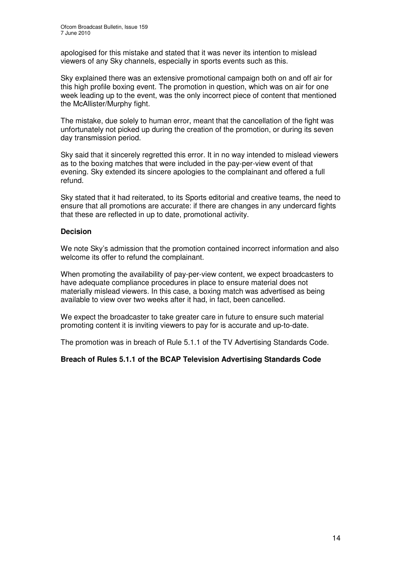apologised for this mistake and stated that it was never its intention to mislead viewers of any Sky channels, especially in sports events such as this.

Sky explained there was an extensive promotional campaign both on and off air for this high profile boxing event. The promotion in question, which was on air for one week leading up to the event, was the only incorrect piece of content that mentioned the McAllister/Murphy fight.

The mistake, due solely to human error, meant that the cancellation of the fight was unfortunately not picked up during the creation of the promotion, or during its seven day transmission period.

Sky said that it sincerely regretted this error. It in no way intended to mislead viewers as to the boxing matches that were included in the pay-per-view event of that evening. Sky extended its sincere apologies to the complainant and offered a full refund.

Sky stated that it had reiterated, to its Sports editorial and creative teams, the need to ensure that all promotions are accurate: if there are changes in any undercard fights that these are reflected in up to date, promotional activity.

#### **Decision**

We note Sky's admission that the promotion contained incorrect information and also welcome its offer to refund the complainant.

When promoting the availability of pay-per-view content, we expect broadcasters to have adequate compliance procedures in place to ensure material does not materially mislead viewers. In this case, a boxing match was advertised as being available to view over two weeks after it had, in fact, been cancelled.

We expect the broadcaster to take greater care in future to ensure such material promoting content it is inviting viewers to pay for is accurate and up-to-date.

The promotion was in breach of Rule 5.1.1 of the TV Advertising Standards Code.

#### **Breach of Rules 5.1.1 of the BCAP Television Advertising Standards Code**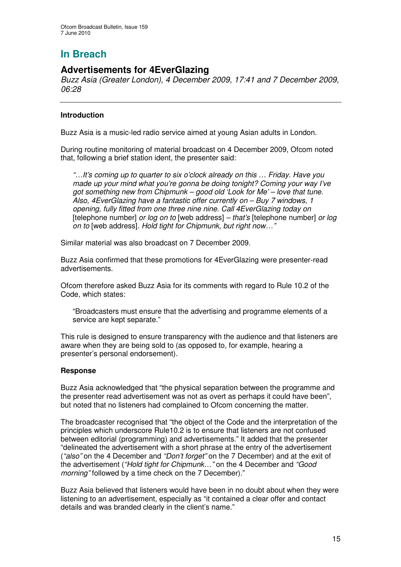## **Advertisements for 4EverGlazing**

*Buzz Asia (Greater London), 4 December 2009, 17:41 and 7 December 2009, 06:28*

#### **Introduction**

Buzz Asia is a music-led radio service aimed at young Asian adults in London.

During routine monitoring of material broadcast on 4 December 2009, Ofcom noted that, following a brief station ident, the presenter said:

*"…It's coming up to quarter to six o'clock already on this … Friday. Have you made up your mind what you're gonna be doing tonight? Coming your way I've got something new from Chipmunk – good old 'Look for Me' – love that tune. Also, 4EverGlazing have a fantastic offer currently on – Buy 7 windows, 1 opening, fully fitted from one three nine nine. Call 4EverGlazing today on* [telephone number] *or log on to* [web address] *– that's* [telephone number] *or log on to* [web address]*. Hold tight for Chipmunk, but right now…"*

Similar material was also broadcast on 7 December 2009.

Buzz Asia confirmed that these promotions for 4EverGlazing were presenter-read advertisements.

Ofcom therefore asked Buzz Asia for its comments with regard to Rule 10.2 of the Code, which states:

"Broadcasters must ensure that the advertising and programme elements of a service are kept separate."

This rule is designed to ensure transparency with the audience and that listeners are aware when they are being sold to (as opposed to, for example, hearing a presenter's personal endorsement).

#### **Response**

Buzz Asia acknowledged that "the physical separation between the programme and the presenter read advertisement was not as overt as perhaps it could have been", but noted that no listeners had complained to Ofcom concerning the matter.

The broadcaster recognised that "the object of the Code and the interpretation of the principles which underscore Rule10.2 is to ensure that listeners are not confused between editorial (programming) and advertisements." It added that the presenter "delineated the advertisement with a short phrase at the entry of the advertisement (*"also"* on the 4 December and *"Don't forget"* on the 7 December) and at the exit of the advertisement (*"Hold tight for Chipmunk…"* on the 4 December and *"Good morning"* followed by a time check on the 7 December)."

Buzz Asia believed that listeners would have been in no doubt about when they were listening to an advertisement, especially as "it contained a clear offer and contact details and was branded clearly in the client's name."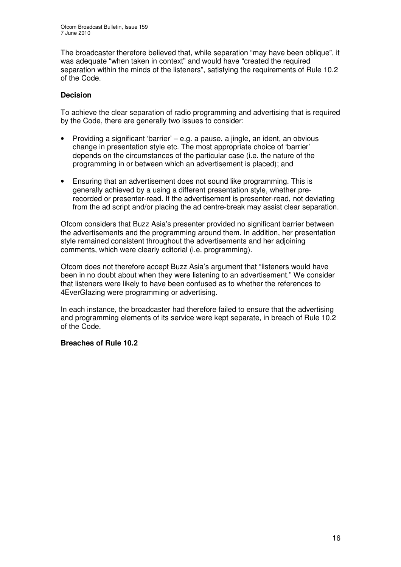The broadcaster therefore believed that, while separation "may have been oblique", it was adequate "when taken in context" and would have "created the required separation within the minds of the listeners", satisfying the requirements of Rule 10.2 of the Code.

#### **Decision**

To achieve the clear separation of radio programming and advertising that is required by the Code, there are generally two issues to consider:

- Providing a significant 'barrier' e.g. a pause, a jingle, an ident, an obvious change in presentation style etc. The most appropriate choice of 'barrier' depends on the circumstances of the particular case (i.e. the nature of the programming in or between which an advertisement is placed); and
- Ensuring that an advertisement does not sound like programming. This is generally achieved by a using a different presentation style, whether prerecorded or presenter-read. If the advertisement is presenter-read, not deviating from the ad script and/or placing the ad centre-break may assist clear separation.

Ofcom considers that Buzz Asia's presenter provided no significant barrier between the advertisements and the programming around them. In addition, her presentation style remained consistent throughout the advertisements and her adjoining comments, which were clearly editorial (i.e. programming).

Ofcom does not therefore accept Buzz Asia's argument that "listeners would have been in no doubt about when they were listening to an advertisement." We consider that listeners were likely to have been confused as to whether the references to 4EverGlazing were programming or advertising.

In each instance, the broadcaster had therefore failed to ensure that the advertising and programming elements of its service were kept separate, in breach of Rule 10.2 of the Code.

#### **Breaches of Rule 10.2**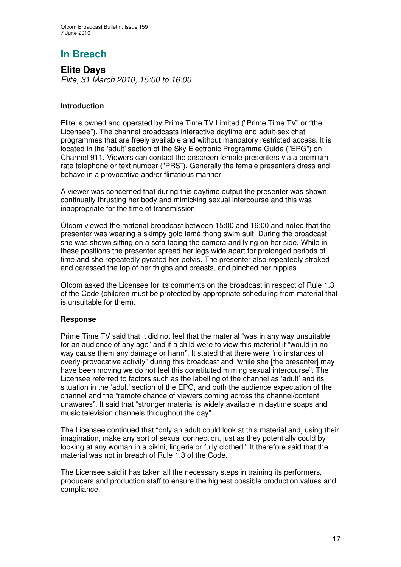**Elite Days** *Elite, 31 March 2010, 15:00 to 16:00*

#### **Introduction**

Elite is owned and operated by Prime Time TV Limited ("Prime Time TV" or "the Licensee"). The channel broadcasts interactive daytime and adult-sex chat programmes that are freely available and without mandatory restricted access. It is located in the 'adult'section of the Sky Electronic Programme Guide ("EPG") on Channel 911. Viewers can contact the onscreen female presenters via a premium rate telephone or text number ("PRS"). Generally the female presenters dress and behave in a provocative and/or flirtatious manner.

A viewer was concerned that during this daytime output the presenter was shown continually thrusting her body and mimicking sexual intercourse and this was inappropriate for the time of transmission.

Ofcom viewed the material broadcast between 15:00 and 16:00 and noted that the presenter was wearing a skimpy gold lamé thong swim suit. During the broadcast she was shown sitting on a sofa facing the camera and lying on her side. While in these positions the presenter spread her legs wide apart for prolonged periods of time and she repeatedly gyrated her pelvis. The presenter also repeatedly stroked and caressed the top of her thighs and breasts, and pinched her nipples.

Ofcom asked the Licensee for its comments on the broadcast in respect of Rule 1.3 of the Code (children must be protected by appropriate scheduling from material that is unsuitable for them).

#### **Response**

Prime Time TV said that it did not feel that the material "was in any way unsuitable for an audience of any age" and if a child were to view this material it "would in no way cause them any damage or harm". It stated that there were "no instances of overly-provocative activity" during this broadcast and "while she [the presenter] may have been moving we do not feel this constituted miming sexual intercourse". The Licensee referred to factors such as the labelling of the channel as 'adult' and its situation in the 'adult' section of the EPG, and both the audience expectation of the channel and the "remote chance of viewers coming across the channel/content unawares". It said that "stronger material is widely available in daytime soaps and music television channels throughout the day".

The Licensee continued that "only an adult could look at this material and, using their imagination, make any sort of sexual connection, just as they potentially could by looking at any woman in a bikini, lingerie or fully clothed". It therefore said that the material was not in breach of Rule 1.3 of the Code.

The Licensee said it has taken all the necessary steps in training its performers, producers and production staff to ensure the highest possible production values and compliance.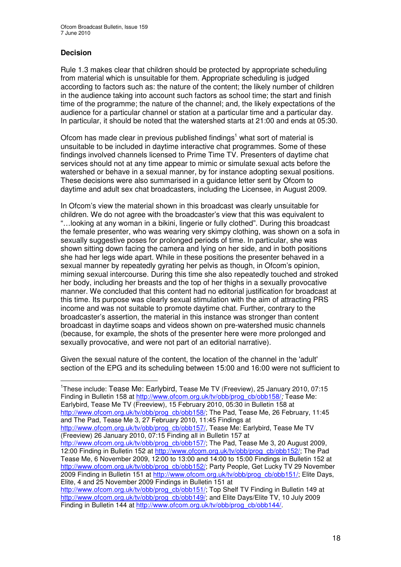#### **Decision**

Rule 1.3 makes clear that children should be protected by appropriate scheduling from material which is unsuitable for them. Appropriate scheduling is judged according to factors such as: the nature of the content; the likely number of children in the audience taking into account such factors as school time; the start and finish time of the programme; the nature of the channel; and, the likely expectations of the audience for a particular channel or station at a particular time and a particular day. In particular, it should be noted that the watershed starts at 21:00 and ends at 05:30.

Ofcom has made clear in previous published findings<sup>1</sup> what sort of material is unsuitable to be included in daytime interactive chat programmes. Some of these findings involved channels licensed to Prime Time TV. Presenters of daytime chat services should not at any time appear to mimic or simulate sexual acts before the watershed or behave in a sexual manner, by for instance adopting sexual positions. These decisions were also summarised in a guidance letter sent by Ofcom to daytime and adult sex chat broadcasters, including the Licensee, in August 2009.

In Ofcom's view the material shown in this broadcast was clearly unsuitable for children. We do not agree with the broadcaster's view that this was equivalent to "…looking at any woman in a bikini, lingerie or fully clothed". During this broadcast the female presenter, who was wearing very skimpy clothing, was shown on a sofa in sexually suggestive poses for prolonged periods of time. In particular, she was shown sitting down facing the camera and lying on her side, and in both positions she had her legs wide apart. While in these positions the presenter behaved in a sexual manner by repeatedly gyrating her pelvis as though, in Ofcom's opinion, miming sexual intercourse. During this time she also repeatedly touched and stroked her body, including her breasts and the top of her thighs in a sexually provocative manner. We concluded that this content had no editorial justification for broadcast at this time. Its purpose was clearly sexual stimulation with the aim of attracting PRS income and was not suitable to promote daytime chat. Further, contrary to the broadcaster's assertion, the material in this instance was stronger than content broadcast in daytime soaps and videos shown on pre-watershed music channels (because, for example, the shots of the presenter here were more prolonged and sexually provocative, and were not part of an editorial narrative).

Given the sexual nature of the content, the location of the channel in the 'adult' section of the EPG and its scheduling between 15:00 and 16:00 were not sufficient to

<sup>1</sup>These include: Tease Me: Earlybird, Tease Me TV (Freeview), 25 January 2010, 07:15 Finding in Bulletin 158 at http://www.ofcom.org.uk/tv/obb/prog\_cb/obb158/*;* Tease Me: Earlybird, Tease Me TV (Freeview), 15 February 2010, 05:30 in Bulletin 158 at http://www.ofcom.org.uk/tv/obb/prog\_cb/obb158/; The Pad, Tease Me, 26 February, 11:45 and The Pad, Tease Me 3, 27 February 2010, 11:45 Findings at http://www.ofcom.org.uk/tv/obb/prog\_cb/obb157/, Tease Me: Earlybird, Tease Me TV (Freeview) 26 January 2010, 07:15 Finding all in Bulletin 157 at

http://www.ofcom.org.uk/tv/obb/prog\_cb/obb157/; The Pad, Tease Me 3, 20 August 2009, 12:00 Finding in Bulletin 152 at http://www.ofcom.org.uk/tv/obb/prog\_cb/obb152/; The Pad Tease Me, 6 November 2009, 12:00 to 13:00 and 14:00 to 15:00 Findings in Bulletin 152 at http://www.ofcom.org.uk/tv/obb/prog\_cb/obb152/; Party People, Get Lucky TV 29 November 2009 Finding in Bulletin 151 at http://www.ofcom.org.uk/tv/obb/prog\_cb/obb151/; Elite Days, Elite, 4 and 25 November 2009 Findings in Bulletin 151 at

http://www.ofcom.org.uk/tv/obb/prog\_cb/obb151/; Top Shelf TV Finding in Bulletin 149 at http://www.ofcom.org.uk/tv/obb/prog\_cb/obb149/; and Elite Days/Elite TV, 10 July 2009 Finding in Bulletin 144 at http://www.ofcom.org.uk/tv/obb/prog\_cb/obb144/.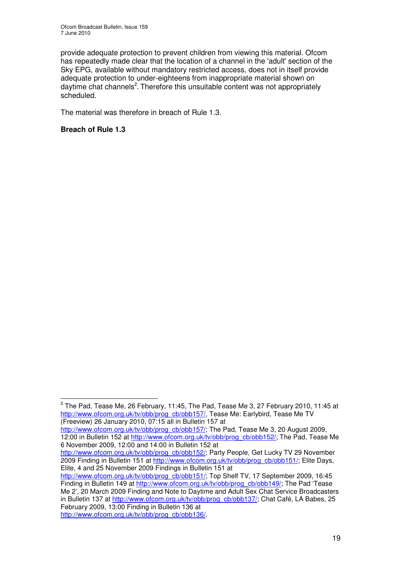provide adequate protection to prevent children from viewing this material. Ofcom has repeatedly made clear that the location of a channel in the 'adult' section of the Sky EPG, available without mandatory restricted access, does not in itself provide adequate protection to under-eighteens from inappropriate material shown on daytime chat channels<sup>2</sup>. Therefore this unsuitable content was not appropriately scheduled.

The material was therefore in breach of Rule 1.3.

#### **Breach of Rule 1.3**

http://www.ofcom.org.uk/tv/obb/prog\_cb/obb157/; The Pad, Tease Me 3, 20 August 2009, 12:00 in Bulletin 152 at http://www.ofcom.org.uk/tv/obb/prog\_cb/obb152/; The Pad, Tease Me 6 November 2009, 12:00 and 14:00 in Bulletin 152 at

http://www.ofcom.org.uk/tv/obb/prog\_cb/obb152/; Party People, Get Lucky TV 29 November 2009 Finding in Bulletin 151 at http://www.ofcom.org.uk/tv/obb/prog\_cb/obb151/; Elite Days, Elite, 4 and 25 November 2009 Findings in Bulletin 151 at

 $^{\text{2}}$  The Pad, Tease Me, 26 February, 11:45, The Pad, Tease Me 3, 27 February 2010, 11:45 at http://www.ofcom.org.uk/tv/obb/prog\_cb/obb157/, Tease Me: Earlybird, Tease Me TV (Freeview) 26 January 2010, 07:15 all in Bulletin 157 at

http://www.ofcom.org.uk/tv/obb/prog\_cb/obb151/; Top Shelf TV, 17 September 2009, 16:45 Finding in Bulletin 149 at http://www.ofcom.org.uk/tv/obb/prog\_cb/obb149/; The Pad 'Tease Me 2', 20 March 2009 Finding and Note to Daytime and Adult Sex Chat Service Broadcasters in Bulletin 137 at http://www.ofcom.org.uk/tv/obb/prog\_cb/obb137/; Chat Café, LA Babes, 25 February 2009, 13:00 Finding in Bulletin 136 at http://www.ofcom.org.uk/tv/obb/prog\_cb/obb136/.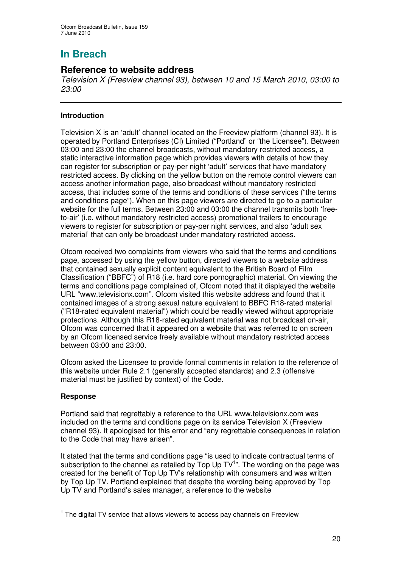## **Reference to website address**

*Television X (Freeview channel 93), between 10 and 15 March 2010, 03:00 to 23:00*

#### **Introduction**

Television X is an 'adult' channel located on the Freeview platform (channel 93). It is operated by Portland Enterprises (CI) Limited ("Portland" or "the Licensee"). Between 03:00 and 23:00 the channel broadcasts, without mandatory restricted access, a static interactive information page which provides viewers with details of how they can register for subscription or pay-per night 'adult' services that have mandatory restricted access. By clicking on the yellow button on the remote control viewers can access another information page, also broadcast without mandatory restricted access, that includes some of the terms and conditions of these services ("the terms and conditions page"). When on this page viewers are directed to go to a particular website for the full terms. Between 23:00 and 03:00 the channel transmits both 'freeto-air' (i.e. without mandatory restricted access) promotional trailers to encourage viewers to register for subscription or pay-per night services, and also 'adult sex material' that can only be broadcast under mandatory restricted access.

Ofcom received two complaints from viewers who said that the terms and conditions page, accessed by using the yellow button, directed viewers to a website address that contained sexually explicit content equivalent to the British Board of Film Classification ("BBFC") of R18 (i.e. hard core pornographic) material. On viewing the terms and conditions page complained of, Ofcom noted that it displayed the website URL "www.televisionx.com". Ofcom visited this website address and found that it contained images of a strong sexual nature equivalent to BBFC R18-rated material ("R18-rated equivalent material") which could be readily viewed without appropriate protections. Although this R18-rated equivalent material was not broadcast on-air, Ofcom was concerned that it appeared on a website that was referred to on screen by an Ofcom licensed service freely available without mandatory restricted access between 03:00 and 23:00.

Ofcom asked the Licensee to provide formal comments in relation to the reference of this website under Rule 2.1 (generally accepted standards) and 2.3 (offensive material must be justified by context) of the Code.

#### **Response**

Portland said that regrettably a reference to the URL www.televisionx.com was included on the terms and conditions page on its service Television X (Freeview channel 93). It apologised for this error and "any regrettable consequences in relation to the Code that may have arisen".

It stated that the terms and conditions page "is used to indicate contractual terms of subscription to the channel as retailed by Top Up TV<sup>1</sup>". The wording on the page was created for the benefit of Top Up TV's relationship with consumers and was written by Top Up TV. Portland explained that despite the wording being approved by Top Up TV and Portland's sales manager, a reference to the website

<sup>&</sup>lt;sup>1</sup> The digital TV service that allows viewers to access pay channels on Freeview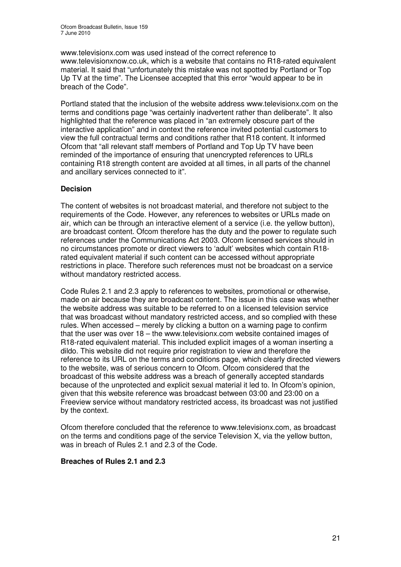www.televisionx.com was used instead of the correct reference to www.televisionxnow.co.uk, which is a website that contains no R18-rated equivalent material. It said that "unfortunately this mistake was not spotted by Portland or Top Up TV at the time". The Licensee accepted that this error "would appear to be in breach of the Code".

Portland stated that the inclusion of the website address www.televisionx.com on the terms and conditions page "was certainly inadvertent rather than deliberate". It also highlighted that the reference was placed in "an extremely obscure part of the interactive application" and in context the reference invited potential customers to view the full contractual terms and conditions rather that R18 content. It informed Ofcom that "all relevant staff members of Portland and Top Up TV have been reminded of the importance of ensuring that unencrypted references to URLs containing R18 strength content are avoided at all times, in all parts of the channel and ancillary services connected to it".

#### **Decision**

The content of websites is not broadcast material, and therefore not subject to the requirements of the Code. However, any references to websites or URLs made on air, which can be through an interactive element of a service (i.e. the yellow button), are broadcast content. Ofcom therefore has the duty and the power to regulate such references under the Communications Act 2003. Ofcom licensed services should in no circumstances promote or direct viewers to 'adult' websites which contain R18 rated equivalent material if such content can be accessed without appropriate restrictions in place. Therefore such references must not be broadcast on a service without mandatory restricted access.

Code Rules 2.1 and 2.3 apply to references to websites, promotional or otherwise, made on air because they are broadcast content. The issue in this case was whether the website address was suitable to be referred to on a licensed television service that was broadcast without mandatory restricted access, and so complied with these rules. When accessed – merely by clicking a button on a warning page to confirm that the user was over 18 – the www.televisionx.com website contained images of R18-rated equivalent material. This included explicit images of a woman inserting a dildo. This website did not require prior registration to view and therefore the reference to its URL on the terms and conditions page, which clearly directed viewers to the website, was of serious concern to Ofcom. Ofcom considered that the broadcast of this website address was a breach of generally accepted standards because of the unprotected and explicit sexual material it led to. In Ofcom's opinion, given that this website reference was broadcast between 03:00 and 23:00 on a Freeview service without mandatory restricted access, its broadcast was not justified by the context.

Ofcom therefore concluded that the reference to www.televisionx.com, as broadcast on the terms and conditions page of the service Television X, via the yellow button, was in breach of Rules 2.1 and 2.3 of the Code.

#### **Breaches of Rules 2.1 and 2.3**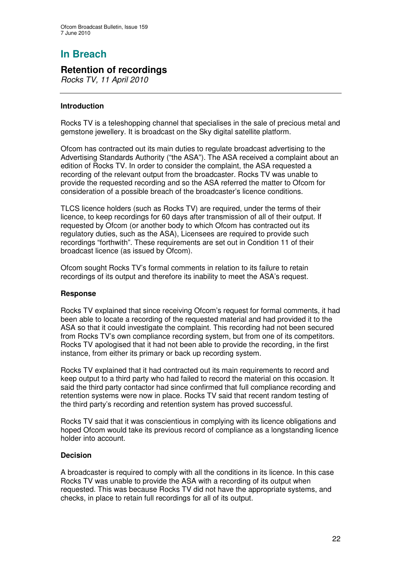## **Retention of recordings**

*Rocks TV, 11 April 2010*

#### **Introduction**

Rocks TV is a teleshopping channel that specialises in the sale of precious metal and gemstone jewellery. It is broadcast on the Sky digital satellite platform.

Ofcom has contracted out its main duties to regulate broadcast advertising to the Advertising Standards Authority ("the ASA"). The ASA received a complaint about an edition of Rocks TV. In order to consider the complaint, the ASA requested a recording of the relevant output from the broadcaster. Rocks TV was unable to provide the requested recording and so the ASA referred the matter to Ofcom for consideration of a possible breach of the broadcaster's licence conditions.

TLCS licence holders (such as Rocks TV) are required, under the terms of their licence, to keep recordings for 60 days after transmission of all of their output. If requested by Ofcom (or another body to which Ofcom has contracted out its regulatory duties, such as the ASA), Licensees are required to provide such recordings "forthwith". These requirements are set out in Condition 11 of their broadcast licence (as issued by Ofcom).

Ofcom sought Rocks TV's formal comments in relation to its failure to retain recordings of its output and therefore its inability to meet the ASA's request.

#### **Response**

Rocks TV explained that since receiving Ofcom's request for formal comments, it had been able to locate a recording of the requested material and had provided it to the ASA so that it could investigate the complaint. This recording had not been secured from Rocks TV's own compliance recording system, but from one of its competitors. Rocks TV apologised that it had not been able to provide the recording, in the first instance, from either its primary or back up recording system.

Rocks TV explained that it had contracted out its main requirements to record and keep output to a third party who had failed to record the material on this occasion. It said the third party contactor had since confirmed that full compliance recording and retention systems were now in place. Rocks TV said that recent random testing of the third party's recording and retention system has proved successful.

Rocks TV said that it was conscientious in complying with its licence obligations and hoped Ofcom would take its previous record of compliance as a longstanding licence holder into account.

#### **Decision**

A broadcaster is required to comply with all the conditions in its licence. In this case Rocks TV was unable to provide the ASA with a recording of its output when requested. This was because Rocks TV did not have the appropriate systems, and checks, in place to retain full recordings for all of its output.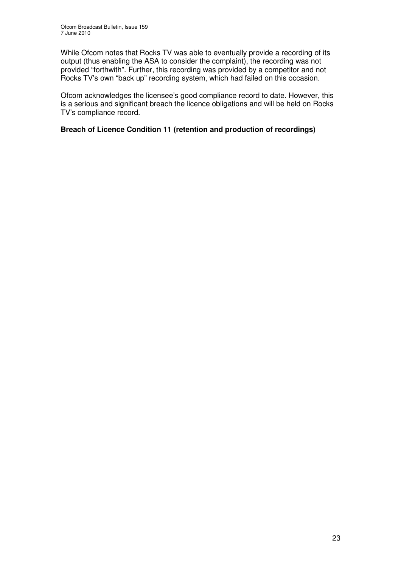While Ofcom notes that Rocks TV was able to eventually provide a recording of its output (thus enabling the ASA to consider the complaint), the recording was not provided "forthwith". Further, this recording was provided by a competitor and not Rocks TV's own "back up" recording system, which had failed on this occasion.

Ofcom acknowledges the licensee's good compliance record to date. However, this is a serious and significant breach the licence obligations and will be held on Rocks TV's compliance record.

#### **Breach of Licence Condition 11 (retention and production of recordings)**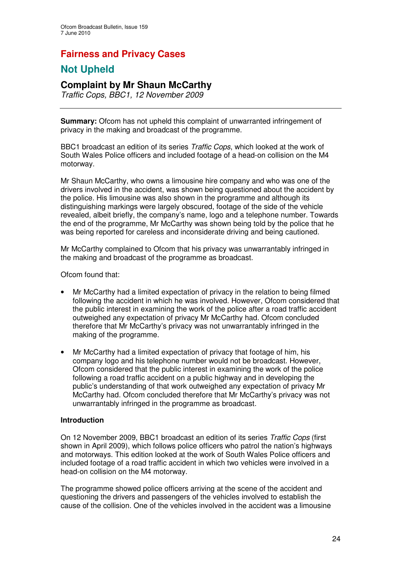# **Fairness and Privacy Cases**

## **Not Upheld**

## **Complaint by Mr Shaun McCarthy**

*Traffic Cops, BBC1, 12 November 2009*

**Summary:** Ofcom has not upheld this complaint of unwarranted infringement of privacy in the making and broadcast of the programme.

BBC1 broadcast an edition of its series *Traffic Cops*, which looked at the work of South Wales Police officers and included footage of a head-on collision on the M4 motorway.

Mr Shaun McCarthy, who owns a limousine hire company and who was one of the drivers involved in the accident, was shown being questioned about the accident by the police. His limousine was also shown in the programme and although its distinguishing markings were largely obscured, footage of the side of the vehicle revealed, albeit briefly, the company's name, logo and a telephone number. Towards the end of the programme, Mr McCarthy was shown being told by the police that he was being reported for careless and inconsiderate driving and being cautioned.

Mr McCarthy complained to Ofcom that his privacy was unwarrantably infringed in the making and broadcast of the programme as broadcast.

Ofcom found that:

- Mr McCarthy had a limited expectation of privacy in the relation to being filmed following the accident in which he was involved. However, Ofcom considered that the public interest in examining the work of the police after a road traffic accident outweighed any expectation of privacy Mr McCarthy had. Ofcom concluded therefore that Mr McCarthy's privacy was not unwarrantably infringed in the making of the programme.
- Mr McCarthy had a limited expectation of privacy that footage of him, his company logo and his telephone number would not be broadcast. However, Ofcom considered that the public interest in examining the work of the police following a road traffic accident on a public highway and in developing the public's understanding of that work outweighed any expectation of privacy Mr McCarthy had. Ofcom concluded therefore that Mr McCarthy's privacy was not unwarrantably infringed in the programme as broadcast.

#### **Introduction**

On 12 November 2009, BBC1 broadcast an edition of its series *Traffic Cops* (first shown in April 2009), which follows police officers who patrol the nation's highways and motorways. This edition looked at the work of South Wales Police officers and included footage of a road traffic accident in which two vehicles were involved in a head-on collision on the M4 motorway.

The programme showed police officers arriving at the scene of the accident and questioning the drivers and passengers of the vehicles involved to establish the cause of the collision. One of the vehicles involved in the accident was a limousine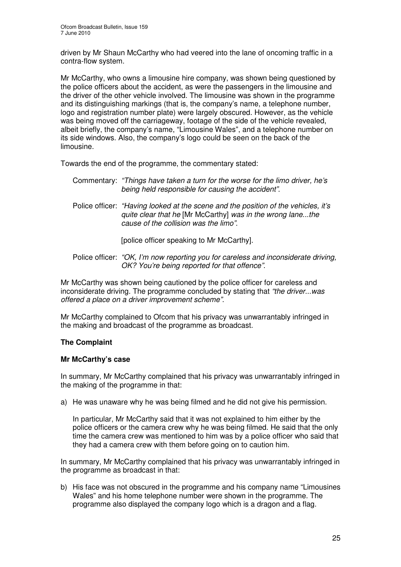driven by Mr Shaun McCarthy who had veered into the lane of oncoming traffic in a contra-flow system.

Mr McCarthy, who owns a limousine hire company, was shown being questioned by the police officers about the accident, as were the passengers in the limousine and the driver of the other vehicle involved. The limousine was shown in the programme and its distinguishing markings (that is, the company's name, a telephone number, logo and registration number plate) were largely obscured. However, as the vehicle was being moved off the carriageway, footage of the side of the vehicle revealed, albeit briefly, the company's name, "Limousine Wales", and a telephone number on its side windows. Also, the company's logo could be seen on the back of the limousine.

Towards the end of the programme, the commentary stated:

| Commentary: "Things have taken a turn for the worse for the limo driver, he's<br>being held responsible for causing the accident".               |
|--------------------------------------------------------------------------------------------------------------------------------------------------|
| Police officer: "Having looked at the scene and the position of the vehicles, it's<br>quite clear that he [Mr McCarthy] was in the wrong lanethe |

[police officer speaking to Mr McCarthy].

*cause of the collision was the limo"*.

Police officer: *"OK, I'm now reporting you for careless and inconsiderate driving, OK? You're being reported for that offence"*.

Mr McCarthy was shown being cautioned by the police officer for careless and inconsiderate driving. The programme concluded by stating that *"the driver...was offered a place on a driver improvement scheme"*.

Mr McCarthy complained to Ofcom that his privacy was unwarrantably infringed in the making and broadcast of the programme as broadcast.

#### **The Complaint**

#### **Mr McCarthy's case**

In summary, Mr McCarthy complained that his privacy was unwarrantably infringed in the making of the programme in that:

a) He was unaware why he was being filmed and he did not give his permission.

In particular, Mr McCarthy said that it was not explained to him either by the police officers or the camera crew why he was being filmed. He said that the only time the camera crew was mentioned to him was by a police officer who said that they had a camera crew with them before going on to caution him.

In summary, Mr McCarthy complained that his privacy was unwarrantably infringed in the programme as broadcast in that:

b) His face was not obscured in the programme and his company name "Limousines Wales" and his home telephone number were shown in the programme. The programme also displayed the company logo which is a dragon and a flag.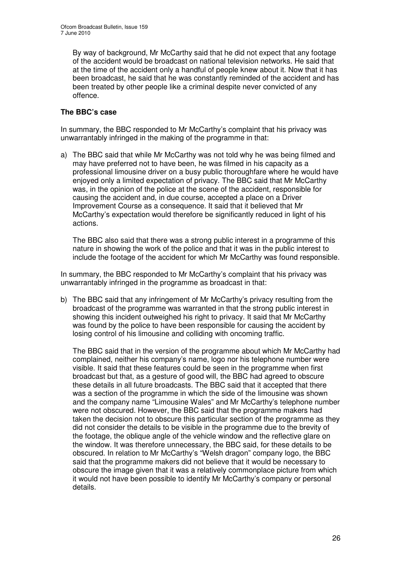By way of background, Mr McCarthy said that he did not expect that any footage of the accident would be broadcast on national television networks. He said that at the time of the accident only a handful of people knew about it. Now that it has been broadcast, he said that he was constantly reminded of the accident and has been treated by other people like a criminal despite never convicted of any offence.

#### **The BBC's case**

In summary, the BBC responded to Mr McCarthy's complaint that his privacy was unwarrantably infringed in the making of the programme in that:

a) The BBC said that while Mr McCarthy was not told why he was being filmed and may have preferred not to have been, he was filmed in his capacity as a professional limousine driver on a busy public thoroughfare where he would have enjoyed only a limited expectation of privacy. The BBC said that Mr McCarthy was, in the opinion of the police at the scene of the accident, responsible for causing the accident and, in due course, accepted a place on a Driver Improvement Course as a consequence. It said that it believed that Mr McCarthy's expectation would therefore be significantly reduced in light of his actions.

The BBC also said that there was a strong public interest in a programme of this nature in showing the work of the police and that it was in the public interest to include the footage of the accident for which Mr McCarthy was found responsible.

In summary, the BBC responded to Mr McCarthy's complaint that his privacy was unwarrantably infringed in the programme as broadcast in that:

b) The BBC said that any infringement of Mr McCarthy's privacy resulting from the broadcast of the programme was warranted in that the strong public interest in showing this incident outweighed his right to privacy. It said that Mr McCarthy was found by the police to have been responsible for causing the accident by losing control of his limousine and colliding with oncoming traffic.

The BBC said that in the version of the programme about which Mr McCarthy had complained, neither his company's name, logo nor his telephone number were visible. It said that these features could be seen in the programme when first broadcast but that, as a gesture of good will, the BBC had agreed to obscure these details in all future broadcasts. The BBC said that it accepted that there was a section of the programme in which the side of the limousine was shown and the company name "Limousine Wales" and Mr McCarthy's telephone number were not obscured. However, the BBC said that the programme makers had taken the decision not to obscure this particular section of the programme as they did not consider the details to be visible in the programme due to the brevity of the footage, the oblique angle of the vehicle window and the reflective glare on the window. It was therefore unnecessary, the BBC said, for these details to be obscured. In relation to Mr McCarthy's "Welsh dragon" company logo, the BBC said that the programme makers did not believe that it would be necessary to obscure the image given that it was a relatively commonplace picture from which it would not have been possible to identify Mr McCarthy's company or personal details.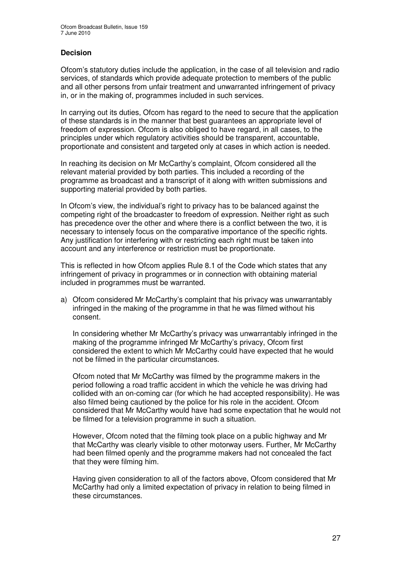#### **Decision**

Ofcom's statutory duties include the application, in the case of all television and radio services, of standards which provide adequate protection to members of the public and all other persons from unfair treatment and unwarranted infringement of privacy in, or in the making of, programmes included in such services.

In carrying out its duties, Ofcom has regard to the need to secure that the application of these standards is in the manner that best guarantees an appropriate level of freedom of expression. Ofcom is also obliged to have regard, in all cases, to the principles under which regulatory activities should be transparent, accountable, proportionate and consistent and targeted only at cases in which action is needed.

In reaching its decision on Mr McCarthy's complaint, Ofcom considered all the relevant material provided by both parties. This included a recording of the programme as broadcast and a transcript of it along with written submissions and supporting material provided by both parties.

In Ofcom's view, the individual's right to privacy has to be balanced against the competing right of the broadcaster to freedom of expression. Neither right as such has precedence over the other and where there is a conflict between the two, it is necessary to intensely focus on the comparative importance of the specific rights. Any justification for interfering with or restricting each right must be taken into account and any interference or restriction must be proportionate.

This is reflected in how Ofcom applies Rule 8.1 of the Code which states that any infringement of privacy in programmes or in connection with obtaining material included in programmes must be warranted.

a) Ofcom considered Mr McCarthy's complaint that his privacy was unwarrantably infringed in the making of the programme in that he was filmed without his consent.

In considering whether Mr McCarthy's privacy was unwarrantably infringed in the making of the programme infringed Mr McCarthy's privacy, Ofcom first considered the extent to which Mr McCarthy could have expected that he would not be filmed in the particular circumstances.

Ofcom noted that Mr McCarthy was filmed by the programme makers in the period following a road traffic accident in which the vehicle he was driving had collided with an on-coming car (for which he had accepted responsibility). He was also filmed being cautioned by the police for his role in the accident. Ofcom considered that Mr McCarthy would have had some expectation that he would not be filmed for a television programme in such a situation.

However, Ofcom noted that the filming took place on a public highway and Mr that McCarthy was clearly visible to other motorway users. Further, Mr McCarthy had been filmed openly and the programme makers had not concealed the fact that they were filming him.

Having given consideration to all of the factors above, Ofcom considered that Mr McCarthy had only a limited expectation of privacy in relation to being filmed in these circumstances.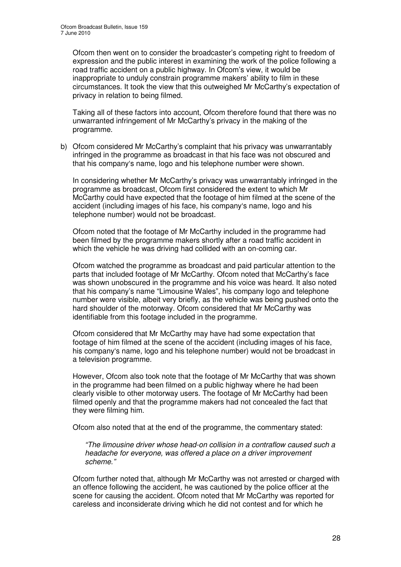Ofcom then went on to consider the broadcaster's competing right to freedom of expression and the public interest in examining the work of the police following a road traffic accident on a public highway. In Ofcom's view, it would be inappropriate to unduly constrain programme makers' ability to film in these circumstances. It took the view that this outweighed Mr McCarthy's expectation of privacy in relation to being filmed.

Taking all of these factors into account, Ofcom therefore found that there was no unwarranted infringement of Mr McCarthy's privacy in the making of the programme.

b) Ofcom considered Mr McCarthy's complaint that his privacy was unwarrantably infringed in the programme as broadcast in that his face was not obscured and that his company's name, logo and his telephone number were shown.

In considering whether Mr McCarthy's privacy was unwarrantably infringed in the programme as broadcast, Ofcom first considered the extent to which Mr McCarthy could have expected that the footage of him filmed at the scene of the accident (including images of his face, his company's name, logo and his telephone number) would not be broadcast.

Ofcom noted that the footage of Mr McCarthy included in the programme had been filmed by the programme makers shortly after a road traffic accident in which the vehicle he was driving had collided with an on-coming car.

Ofcom watched the programme as broadcast and paid particular attention to the parts that included footage of Mr McCarthy. Ofcom noted that McCarthy's face was shown unobscured in the programme and his voice was heard. It also noted that his company's name "Limousine Wales", his company logo and telephone number were visible, albeit very briefly, as the vehicle was being pushed onto the hard shoulder of the motorway. Ofcom considered that Mr McCarthy was identifiable from this footage included in the programme.

Ofcom considered that Mr McCarthy may have had some expectation that footage of him filmed at the scene of the accident (including images of his face, his company's name, logo and his telephone number) would not be broadcast in a television programme.

However, Ofcom also took note that the footage of Mr McCarthy that was shown in the programme had been filmed on a public highway where he had been clearly visible to other motorway users. The footage of Mr McCarthy had been filmed openly and that the programme makers had not concealed the fact that they were filming him.

Ofcom also noted that at the end of the programme, the commentary stated:

*"The limousine driver whose head-on collision in a contraflow caused such a headache for everyone, was offered a place on a driver improvement scheme."*

Ofcom further noted that, although Mr McCarthy was not arrested or charged with an offence following the accident, he was cautioned by the police officer at the scene for causing the accident. Ofcom noted that Mr McCarthy was reported for careless and inconsiderate driving which he did not contest and for which he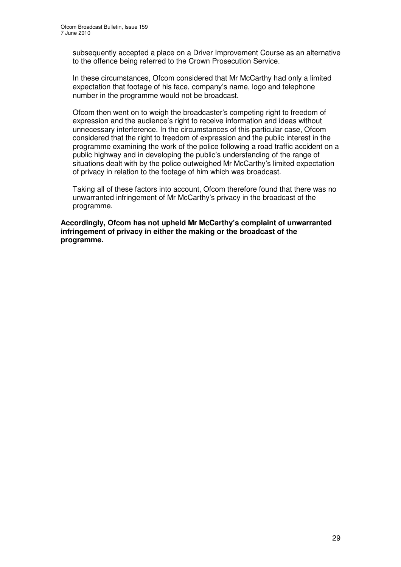subsequently accepted a place on a Driver Improvement Course as an alternative to the offence being referred to the Crown Prosecution Service.

In these circumstances, Ofcom considered that Mr McCarthy had only a limited expectation that footage of his face, company's name, logo and telephone number in the programme would not be broadcast.

Ofcom then went on to weigh the broadcaster's competing right to freedom of expression and the audience's right to receive information and ideas without unnecessary interference. In the circumstances of this particular case, Ofcom considered that the right to freedom of expression and the public interest in the programme examining the work of the police following a road traffic accident on a public highway and in developing the public's understanding of the range of situations dealt with by the police outweighed Mr McCarthy's limited expectation of privacy in relation to the footage of him which was broadcast.

Taking all of these factors into account, Ofcom therefore found that there was no unwarranted infringement of Mr McCarthy's privacy in the broadcast of the programme.

**Accordingly, Ofcom has not upheld Mr McCarthy's complaint of unwarranted infringement of privacy in either the making or the broadcast of the programme.**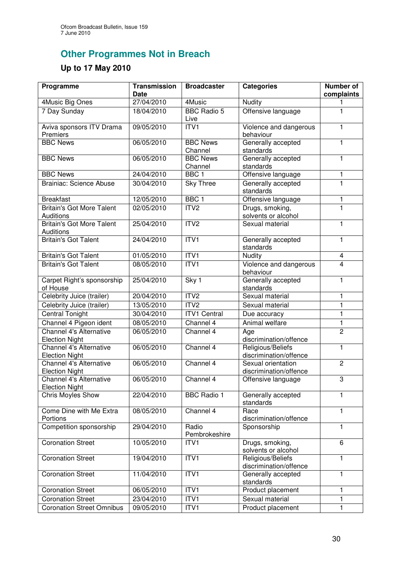## **Other Programmes Not in Breach**

## **Up to 17 May 2010**

| Programme                                            | <b>Transmission</b><br><b>Date</b> | <b>Broadcaster</b>         | <b>Categories</b>                            | Number of<br>complaints |
|------------------------------------------------------|------------------------------------|----------------------------|----------------------------------------------|-------------------------|
| 4Music Big Ones                                      | 27/04/2010                         | 4Music                     | <b>Nudity</b>                                | 1                       |
| 7 Day Sunday                                         | 18/04/2010                         | <b>BBC Radio 5</b><br>Live | Offensive language                           | 1                       |
| Aviva sponsors ITV Drama<br>Premiers                 | 09/05/2010                         | ITV1                       | Violence and dangerous<br>behaviour          | 1                       |
| <b>BBC News</b>                                      | 06/05/2010                         | <b>BBC News</b><br>Channel | Generally accepted<br>standards              | $\mathbf{1}$            |
| <b>BBC News</b>                                      | 06/05/2010                         | <b>BBC News</b><br>Channel | Generally accepted<br>standards              | 1                       |
| <b>BBC News</b>                                      | 24/04/2010                         | BBC <sub>1</sub>           | Offensive language                           | 1                       |
| <b>Brainiac: Science Abuse</b>                       | 30/04/2010                         | Sky Three                  | Generally accepted<br>standards              | $\overline{1}$          |
| <b>Breakfast</b>                                     | 12/05/2010                         | BBC <sub>1</sub>           | Offensive language                           | 1                       |
| <b>Britain's Got More Talent</b><br><b>Auditions</b> | 02/05/2010                         | ITV <sub>2</sub>           | Drugs, smoking,<br>solvents or alcohol       | $\overline{1}$          |
| <b>Britain's Got More Talent</b><br><b>Auditions</b> | 25/04/2010                         | ITV2                       | Sexual material                              | 1                       |
| <b>Britain's Got Talent</b>                          | 24/04/2010                         | ITVI                       | Generally accepted<br>standards              | $\mathbf{1}$            |
| <b>Britain's Got Talent</b>                          | 01/05/2010                         | ITV1                       | Nudity                                       | $\overline{\mathbf{4}}$ |
| <b>Britain's Got Talent</b>                          | 08/05/2010                         | ITVI                       | Violence and dangerous<br>behaviour          | $\overline{4}$          |
| Carpet Right's sponsorship<br>of House               | 25/04/2010                         | Sky 1                      | Generally accepted<br>standards              | $\mathbf{1}$            |
| Celebrity Juice (trailer)                            | 20/04/2010                         | ITV <sub>2</sub>           | Sexual material                              | 1                       |
| Celebrity Juice (trailer)                            | 13/05/2010                         | ITV <sub>2</sub>           | Sexual material                              | $\mathbf{1}$            |
| <b>Central Tonight</b>                               | 30/04/2010                         | <b>ITV1 Central</b>        | Due accuracy                                 | $\mathbf{1}$            |
| Channel 4 Pigeon ident                               | 08/05/2010                         | Channel 4                  | Animal welfare                               | 1                       |
| Channel 4's Alternative<br><b>Election Night</b>     | 06/05/2010                         | Channel 4                  | Age<br>discrimination/offence                | $\overline{2}$          |
| Channel 4's Alternative<br><b>Election Night</b>     | 06/05/2010                         | Channel 4                  | Religious/Beliefs<br>discrimination/offence  | $\mathbf{1}$            |
| Channel 4's Alternative<br><b>Election Night</b>     | 06/05/2010                         | Channel 4                  | Sexual orientation<br>discrimination/offence | $\overline{2}$          |
| Channel 4's Alternative<br><b>Election Night</b>     | 06/05/2010                         | Channel 4                  | Offensive language                           | 3                       |
| <b>Chris Moyles Show</b>                             | 22/04/2010                         | <b>BBC Radio 1</b>         | Generally accepted<br>standards              | 1                       |
| Come Dine with Me Extra<br>Portions                  | 08/05/2010                         | Channel 4                  | Race<br>discrimination/offence               | 1                       |
| Competition sponsorship                              | 29/04/2010                         | Radio<br>Pembrokeshire     | Sponsorship                                  | $\mathbf{1}$            |
| <b>Coronation Street</b>                             | 10/05/2010                         | ITV1                       | Drugs, smoking,<br>solvents or alcohol       | 6                       |
| <b>Coronation Street</b>                             | 19/04/2010                         | ITV1                       | Religious/Beliefs<br>discrimination/offence  | $\mathbf{1}$            |
| <b>Coronation Street</b>                             | 11/04/2010                         | ITV1                       | Generally accepted<br>standards              | $\mathbf{1}$            |
| <b>Coronation Street</b>                             | 06/05/2010                         | ITV1                       | Product placement                            | 1                       |
| <b>Coronation Street</b>                             | 23/04/2010                         | ITV1                       | Sexual material                              | $\mathbf{1}$            |
| <b>Coronation Street Omnibus</b>                     | 09/05/2010                         | ITV <sub>1</sub>           | Product placement                            | 1                       |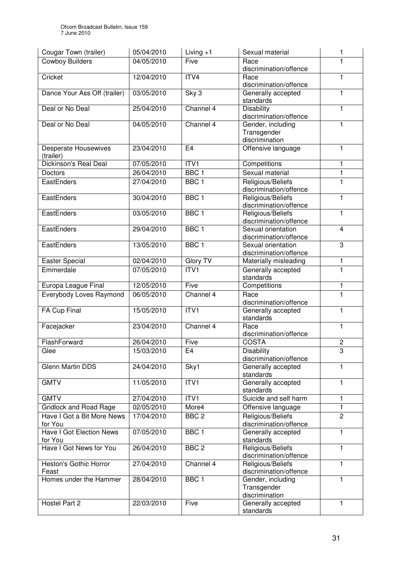| Cougar Town (trailer)               | 05/04/2010 | Living $+1$      | Sexual material                                 | 1              |
|-------------------------------------|------------|------------------|-------------------------------------------------|----------------|
| <b>Cowboy Builders</b>              | 04/05/2010 | Five             | Race                                            | 1              |
|                                     |            |                  | discrimination/offence                          |                |
| Cricket                             | 12/04/2010 | ITV4             | Race                                            | 1              |
|                                     |            |                  | discrimination/offence                          |                |
| Dance Your Ass Off (trailer)        | 03/05/2010 | Sky 3            | Generally accepted<br>standards                 | 1              |
| Deal or No Deal                     | 25/04/2010 | Channel 4        | <b>Disability</b>                               | 1              |
|                                     |            |                  | discrimination/offence                          |                |
| Deal or No Deal                     | 04/05/2010 | Channel 4        | Gender, including                               | 1              |
|                                     |            |                  | Transgender                                     |                |
|                                     |            |                  | discrimination                                  |                |
| <b>Desperate Housewives</b>         | 23/04/2010 | E4               | Offensive language                              | 1              |
| (trailer)<br>Dickinson's Real Deal  | 07/05/2010 | ITV1             |                                                 | 1              |
|                                     | 26/04/2010 | BBC <sub>1</sub> | Competitions<br>Sexual material                 | $\mathbf{1}$   |
| <b>Doctors</b><br>EastEnders        | 27/04/2010 | BBC <sub>1</sub> | Religious/Beliefs                               | 1              |
|                                     |            |                  | discrimination/offence                          |                |
| EastEnders                          | 30/04/2010 | BBC <sub>1</sub> | Religious/Beliefs                               | 1              |
|                                     |            |                  | discrimination/offence                          |                |
| EastEnders                          | 03/05/2010 | BBC <sub>1</sub> | Religious/Beliefs                               | $\mathbf{1}$   |
|                                     |            |                  | discrimination/offence                          |                |
| EastEnders                          | 29/04/2010 | BBC <sub>1</sub> | Sexual orientation                              | $\overline{4}$ |
|                                     |            |                  | discrimination/offence                          |                |
| EastEnders                          | 13/05/2010 | BBC <sub>1</sub> | Sexual orientation                              | 3              |
| Easter Special                      | 02/04/2010 | Glory TV         | discrimination/offence<br>Materially misleading | 1              |
| Emmerdale                           | 07/05/2010 | ITVI             | Generally accepted                              | $\mathbf{1}$   |
|                                     |            |                  | standards                                       |                |
| Europa League Final                 | 12/05/2010 | Five             | Competitions                                    | 1              |
| Everybody Loves Raymond             | 06/05/2010 | Channel 4        | Race                                            | 1              |
|                                     |            |                  | discrimination/offence                          |                |
| FA Cup Final                        | 15/05/2010 | ITV1             | Generally accepted                              | 1              |
|                                     |            |                  | standards                                       |                |
| Facejacker                          | 23/04/2010 | Channel 4        | Race                                            | $\mathbf{1}$   |
| FlashForward                        | 26/04/2010 | Five             | discrimination/offence<br><b>COSTA</b>          | $\overline{c}$ |
| Glee                                | 15/03/2010 | E4               | <b>Disability</b>                               | 3              |
|                                     |            |                  | discrimination/offence                          |                |
| Glenn Martin DDS                    | 24/04/2010 | Sky1             | Generally accepted                              | 1              |
|                                     |            |                  | standards                                       |                |
| <b>GMTV</b>                         | 11/05/2010 | ITVI             | Generally accepted                              | 1              |
|                                     |            |                  | standards                                       |                |
| <b>GMTV</b>                         | 27/04/2010 | ITV1             | Suicide and self harm                           | 1              |
| <b>Gridlock and Road Rage</b>       | 02/05/2010 | More4            | Offensive language                              | 1              |
| Have I Got a Bit More News          | 17/04/2010 | BBC <sub>2</sub> | Religious/Beliefs<br>discrimination/offence     | $\overline{2}$ |
| for You<br>Have I Got Election News | 07/05/2010 | BBC <sub>1</sub> | Generally accepted                              | 1              |
| for You                             |            |                  | standards                                       |                |
| Have I Got News for You             | 26/04/2010 | BBC <sub>2</sub> | Religious/Beliefs                               | 1              |
|                                     |            |                  | discrimination/offence                          |                |
| Heston's Gothic Horror              | 27/04/2010 | Channel 4        | Religious/Beliefs                               | 1              |
| Feast                               |            |                  | discrimination/offence                          |                |
| Homes under the Hammer              | 28/04/2010 | BBC <sub>1</sub> | Gender, including                               | 1              |
|                                     |            |                  | Transgender<br>discrimination                   |                |
| Hostel Part 2                       | 22/03/2010 | Five             | Generally accepted                              | $\mathbf{1}$   |
|                                     |            |                  | standards                                       |                |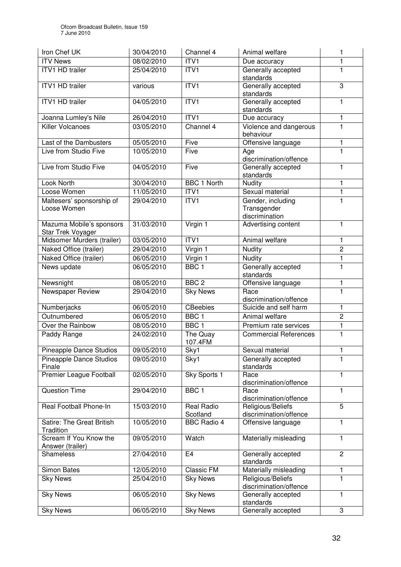| Iron Chef UK                                  | 30/04/2010 | Channel 4              | Animal welfare                                     | 1              |
|-----------------------------------------------|------------|------------------------|----------------------------------------------------|----------------|
| <b>ITV News</b>                               | 08/02/2010 | ITV <sub>1</sub>       | Due accuracy                                       | 1              |
| <b>ITV1 HD trailer</b>                        | 25/04/2010 | ITVI                   | Generally accepted<br>standards                    | 1              |
| <b>ITV1 HD trailer</b>                        | various    | ITVI                   | Generally accepted<br>standards                    | $\overline{3}$ |
| ITV1 HD trailer                               | 04/05/2010 | ITV <sub>1</sub>       | Generally accepted<br>standards                    | $\mathbf{1}$   |
| Joanna Lumley's Nile                          | 26/04/2010 | ITVI                   | Due accuracy                                       | 1              |
| <b>Killer Volcanoes</b>                       | 03/05/2010 | Channel 4              | Violence and dangerous<br>behaviour                | 1              |
| Last of the Dambusters                        | 05/05/2010 | Five                   | Offensive language                                 | 1              |
| Live from Studio Five                         | 10/05/2010 | Five                   | Age<br>discrimination/offence                      | 1              |
| Live from Studio Five                         | 04/05/2010 | Five                   | Generally accepted<br>standards                    | 1              |
| Look North                                    | 30/04/2010 | <b>BBC 1 North</b>     | Nudity                                             | 1              |
| Loose Women                                   | 11/05/2010 | ITV1                   | Sexual material                                    | 1              |
| Maltesers' sponsorship of<br>Loose Women      | 29/04/2010 | ITV1                   | Gender, including<br>Transgender<br>discrimination | 1              |
| Mazuma Mobile's sponsors<br>Star Trek Voyager | 31/03/2010 | Virgin 1               | Advertising content                                | $\mathbf{1}$   |
| Midsomer Murders (trailer)                    | 03/05/2010 | ITVI                   | Animal welfare                                     | 1              |
| Naked Office (trailer)                        | 29/04/2010 | Virgin 1               | Nudity                                             | $\overline{2}$ |
| Naked Office (trailer)                        | 06/05/2010 | Virgin 1               | Nudity                                             | 1              |
| News update                                   | 06/05/2010 | BBC <sub>1</sub>       | Generally accepted<br>standards                    | 1              |
| Newsnight                                     | 08/05/2010 | BBC <sub>2</sub>       | Offensive language                                 | 1              |
| <b>Newspaper Review</b>                       | 29/04/2010 | <b>Sky News</b>        | Race<br>discrimination/offence                     | $\overline{1}$ |
| Numberjacks                                   | 06/05/2010 | CBeebies               | Suicide and self harm                              | 1              |
| Outnumbered                                   | 06/05/2010 | BBC <sub>1</sub>       | Animal welfare                                     | $\overline{2}$ |
| Over the Rainbow                              | 08/05/2010 | BBC <sub>1</sub>       | Premium rate services                              | $\mathbf{1}$   |
| Paddy Range                                   | 24/02/2010 | The Quay<br>107.4FM    | <b>Commercial References</b>                       | 1              |
| <b>Pineapple Dance Studios</b>                | 09/05/2010 | Sky1                   | Sexual material                                    | 1              |
| Pineapple Dance Studios<br>Finale             | 09/05/2010 | Sky1                   | Generally accepted<br>standards                    | 1              |
| <b>Premier League Football</b>                | 02/05/2010 | Sky Sports 1           | Race<br>discrimination/offence                     | 1              |
| <b>Question Time</b>                          | 29/04/2010 | BBC <sub>1</sub>       | Race<br>discrimination/offence                     | 1              |
| Real Football Phone-In                        | 15/03/2010 | Real Radio<br>Scotland | Religious/Beliefs<br>discrimination/offence        | 5              |
| Satire: The Great British<br>Tradition        | 10/05/2010 | <b>BBC Radio 4</b>     | Offensive language                                 | 1              |
| Scream If You Know the<br>Answer (trailer)    | 09/05/2010 | Watch                  | Materially misleading                              | 1              |
| <b>Shameless</b>                              | 27/04/2010 | E <sub>4</sub>         | Generally accepted<br>standards                    | $\overline{2}$ |
| <b>Simon Bates</b>                            | 12/05/2010 | <b>Classic FM</b>      | Materially misleading                              | $\mathbf{1}$   |
| <b>Sky News</b>                               | 25/04/2010 | <b>Sky News</b>        | Religious/Beliefs<br>discrimination/offence        | 1              |
| <b>Sky News</b>                               | 06/05/2010 | <b>Sky News</b>        | Generally accepted<br>standards                    | 1              |
| <b>Sky News</b>                               | 06/05/2010 | <b>Sky News</b>        | Generally accepted                                 | 3              |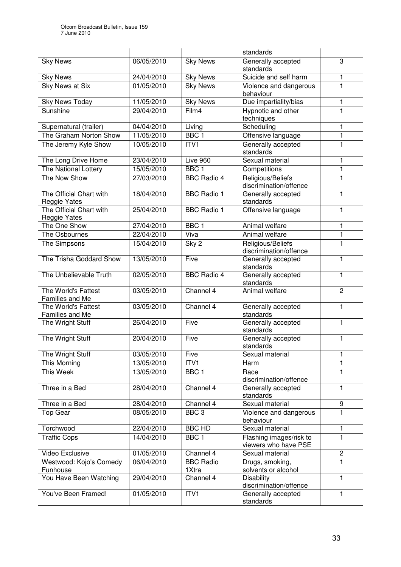|                                                |            |                           | standards                                       |                |
|------------------------------------------------|------------|---------------------------|-------------------------------------------------|----------------|
| <b>Sky News</b>                                | 06/05/2010 | <b>Sky News</b>           | Generally accepted<br>standards                 | 3              |
| <b>Sky News</b>                                | 24/04/2010 | <b>Sky News</b>           | Suicide and self harm                           | 1              |
| <b>Sky News at Six</b>                         | 01/05/2010 | <b>Sky News</b>           | Violence and dangerous<br>behaviour             | $\overline{1}$ |
| <b>Sky News Today</b>                          | 11/05/2010 | <b>Sky News</b>           | Due impartiality/bias                           | 1              |
| Sunshine                                       | 29/04/2010 | Film4                     | Hypnotic and other<br>techniques                | 1              |
| Supernatural (trailer)                         | 04/04/2010 | Living                    | Scheduling                                      | 1              |
| The Graham Norton Show                         | 11/05/2010 | BBC <sub>1</sub>          | Offensive language                              | 1              |
| The Jeremy Kyle Show                           | 10/05/2010 | ITV1                      | Generally accepted<br>standards                 | 1              |
| The Long Drive Home                            | 23/04/2010 | Live 960                  | Sexual material                                 | 1              |
| The National Lottery                           | 15/05/2010 | BBC <sub>1</sub>          | Competitions                                    | $\mathbf{1}$   |
| The Now Show                                   | 27/03/2010 | <b>BBC Radio 4</b>        | Religious/Beliefs<br>discrimination/offence     | 1              |
| The Official Chart with<br><b>Reggie Yates</b> | 18/04/2010 | <b>BBC Radio 1</b>        | Generally accepted<br>standards                 | 1              |
| The Official Chart with<br>Reggie Yates        | 25/04/2010 | <b>BBC Radio 1</b>        | Offensive language                              | 1              |
| The One Show                                   | 27/04/2010 | BBC <sub>1</sub>          | Animal welfare                                  | $\mathbf{1}$   |
| The Osbournes                                  | 22/04/2010 | Viva                      | Animal welfare                                  | 1              |
| The Simpsons                                   | 15/04/2010 | Sky <sub>2</sub>          | Religious/Beliefs<br>discrimination/offence     | 1              |
| The Trisha Goddard Show                        | 13/05/2010 | Five                      | Generally accepted<br>standards                 | $\mathbf{1}$   |
| The Unbelievable Truth                         | 02/05/2010 | <b>BBC Radio 4</b>        | Generally accepted<br>standards                 | 1              |
| The World's Fattest<br>Families and Me         | 03/05/2010 | Channel 4                 | Animal welfare                                  | $\overline{2}$ |
| The World's Fattest<br>Families and Me         | 03/05/2010 | Channel 4                 | Generally accepted<br>standards                 | 1              |
| The Wright Stuff                               | 26/04/2010 | Five                      | Generally accepted<br>standards                 | $\mathbf{1}$   |
| The Wright Stuff                               | 20/04/2010 | Five                      | Generally accepted<br>standards                 | 1              |
| The Wright Stuff                               | 03/05/2010 | Five                      | Sexual material                                 | 1              |
| This Morning                                   | 13/05/2010 | ITV1                      | Harm                                            | 1              |
| This Week                                      | 13/05/2010 | BBC <sub>1</sub>          | Race<br>discrimination/offence                  | 1              |
| Three in a Bed                                 | 28/04/2010 | Channel $\overline{4}$    | Generally accepted<br>standards                 | 1              |
| Three in a Bed                                 | 28/04/2010 | Channel 4                 | Sexual material                                 | 9              |
| <b>Top Gear</b>                                | 08/05/2010 | BBC <sub>3</sub>          | Violence and dangerous<br>behaviour             | 1              |
| Torchwood                                      | 22/04/2010 | <b>BBC HD</b>             | Sexual material                                 | 1              |
| <b>Traffic Cops</b>                            | 14/04/2010 | BBC <sub>1</sub>          | Flashing images/risk to<br>viewers who have PSE | 1              |
| Video Exclusive                                | 01/05/2010 | Channel 4                 | Sexual material                                 | $\overline{c}$ |
| Westwood: Kojo's Comedy<br>Funhouse            | 06/04/2010 | <b>BBC Radio</b><br>1Xtra | Drugs, smoking,<br>solvents or alcohol          | 1              |
| You Have Been Watching                         | 29/04/2010 | Channel 4                 | <b>Disability</b><br>discrimination/offence     | $\mathbf{1}$   |
| You've Been Framed!                            | 01/05/2010 | ITV1                      | Generally accepted<br>standards                 | 1              |